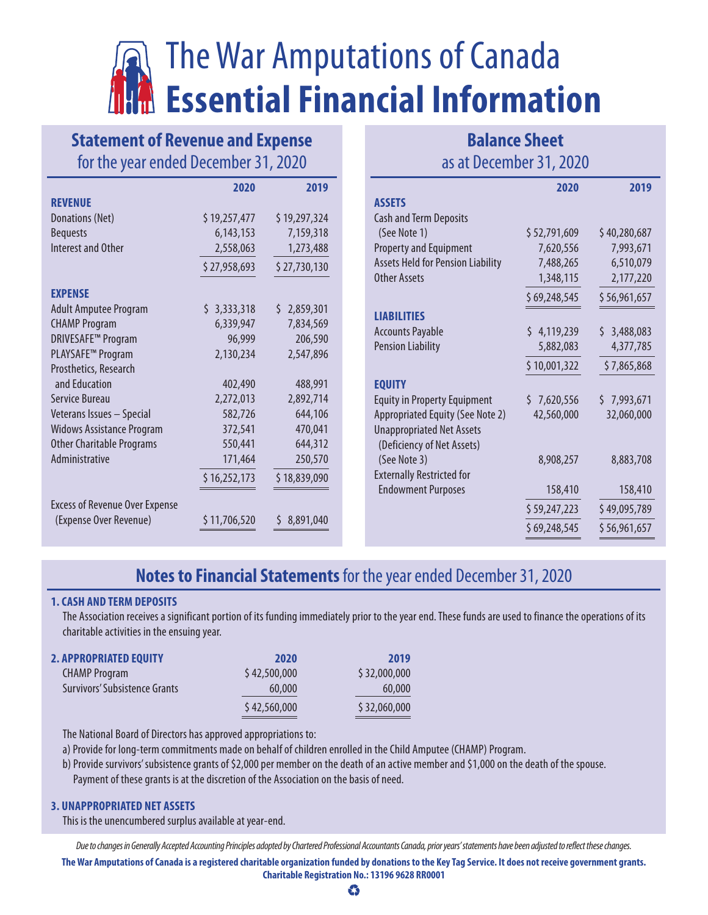# The War Amputations of Canada **Essential Financial Information**

### **Statement of Revenue and Expense** for the year ended December 31, 2020

| <b>Balance Sheet</b>    |  |  |
|-------------------------|--|--|
| as at December 31, 2020 |  |  |

|                                       | 2020         | 2019         |                                          | 2020         | 2019         |
|---------------------------------------|--------------|--------------|------------------------------------------|--------------|--------------|
| <b>REVENUE</b>                        |              |              | <b>ASSETS</b>                            |              |              |
| Donations (Net)                       | \$19,257,477 | \$19,297,324 | <b>Cash and Term Deposits</b>            |              |              |
| <b>Bequests</b>                       | 6, 143, 153  | 7,159,318    | (See Note 1)                             | \$52,791,609 | \$40,280,687 |
| Interest and Other                    | 2,558,063    | 1,273,488    | <b>Property and Equipment</b>            | 7,620,556    | 7,993,671    |
|                                       | \$27,958,693 | \$27,730,130 | <b>Assets Held for Pension Liability</b> | 7,488,265    | 6,510,079    |
|                                       |              |              | <b>Other Assets</b>                      | 1,348,115    | 2,177,220    |
| <b>EXPENSE</b>                        |              |              |                                          | \$69,248,545 | \$56,961,657 |
| <b>Adult Amputee Program</b>          | \$3,333,318  | \$2,859,301  | <b>LIABILITIES</b>                       |              |              |
| <b>CHAMP Program</b>                  | 6,339,947    | 7,834,569    | <b>Accounts Payable</b>                  | \$4,119,239  | \$3,488,083  |
| <b>DRIVESAFE™ Program</b>             | 96,999       | 206,590      | <b>Pension Liability</b>                 | 5,882,083    | 4,377,785    |
| PLAYSAFE <sup>™</sup> Program         | 2,130,234    | 2,547,896    |                                          |              |              |
| Prosthetics, Research                 |              |              |                                          | \$10,001,322 | \$7,865,868  |
| and Education                         | 402,490      | 488,991      | <b>EQUITY</b>                            |              |              |
| Service Bureau                        | 2,272,013    | 2,892,714    | <b>Equity in Property Equipment</b>      | \$7,620,556  | \$7,993,671  |
| Veterans Issues - Special             | 582,726      | 644,106      | Appropriated Equity (See Note 2)         | 42,560,000   | 32,060,000   |
| <b>Widows Assistance Program</b>      | 372,541      | 470,041      | <b>Unappropriated Net Assets</b>         |              |              |
| <b>Other Charitable Programs</b>      | 550,441      | 644,312      | (Deficiency of Net Assets)               |              |              |
| Administrative                        | 171,464      | 250,570      | (See Note 3)                             | 8,908,257    | 8,883,708    |
|                                       | \$16,252,173 | \$18,839,090 | <b>Externally Restricted for</b>         |              |              |
|                                       |              |              | <b>Endowment Purposes</b>                | 158,410      | 158,410      |
| <b>Excess of Revenue Over Expense</b> |              | \$8,891,040  |                                          | \$59,247,223 | \$49,095,789 |
| (Expense Over Revenue)                | \$11,706,520 |              |                                          | \$69,248,545 | \$56,961,657 |

## **Notes to Financial Statements** for the year ended December 31, 2020

#### **1. CASH AND TERM DEPOSITS**

The Association receives a significant portion of its funding immediately prior to the year end. These funds are used to finance the operations of its charitable activities in the ensuing year.

| <b>2. APPROPRIATED EQUITY</b>        | 2020         | 2019         |
|--------------------------------------|--------------|--------------|
| <b>CHAMP Program</b>                 | \$42,500,000 | \$32,000,000 |
| <b>Survivors' Subsistence Grants</b> | 60,000       | 60,000       |
|                                      | \$42,560,000 | \$32,060,000 |
|                                      |              |              |

The National Board of Directors has approved appropriations to:

a) Provide for long-term commitments made on behalf of children enrolled in the Child Amputee (CHAMP) Program.

b) Provide survivors' subsistence grants of \$2,000 per member on the death of an active member and \$1,000 on the death of the spouse. Payment of these grants is at the discretion of the Association on the basis of need.

#### **3. UNAPPROPRIATED NET ASSETS**

This is the unencumbered surplus available at year-end.

*Due to changes in Generally Accepted Accounting Principles adopted by Chartered Professional Accountants Canada, prior years' statements have been adjusted to reflect these changes.*

**The War Amputations of Canada is a registered charitable organization funded by donations to the Key Tag Service. It does not receive government grants. Charitable Registration No.: 13196 9628 RR0001**